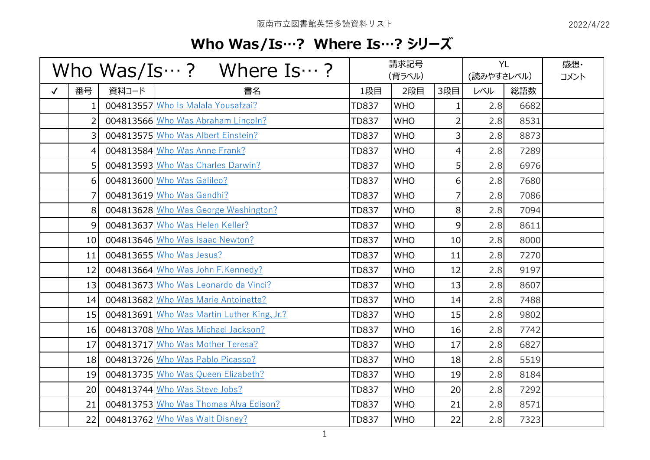## **Who Was/Is…? Where Is…? シリーズ**

| Who Was/Is $\cdots$ ? Where Is $\cdots$ ? |                 |       | 請求記号<br>(背ラベル)                             |              |            | <b>YL</b><br>(読みやすさレベル) |     | 感想·<br>コメント |  |
|-------------------------------------------|-----------------|-------|--------------------------------------------|--------------|------------|-------------------------|-----|-------------|--|
| $\checkmark$                              | 番号              | 資料コード | 書名                                         | 1段目          | 2段目        | 3段目                     | レベル | 総語数         |  |
|                                           | $\mathbf{1}$    |       | 004813557 Who Is Malala Yousafzai?         | <b>TD837</b> | <b>WHO</b> | $\mathbf{1}$            | 2.8 | 6682        |  |
|                                           | $\overline{2}$  |       | 004813566 Who Was Abraham Lincoln?         | <b>TD837</b> | <b>WHO</b> | $\overline{2}$          | 2.8 | 8531        |  |
|                                           | 3               |       | 004813575 Who Was Albert Einstein?         | <b>TD837</b> | <b>WHO</b> | $\overline{\mathbf{3}}$ | 2.8 | 8873        |  |
|                                           | 4               |       | 004813584 Who Was Anne Frank?              | <b>TD837</b> | <b>WHO</b> | $\vert 4 \vert$         | 2.8 | 7289        |  |
|                                           | 5 <sup>1</sup>  |       | 004813593 Who Was Charles Darwin?          | <b>TD837</b> | <b>WHO</b> | 5 <sup>1</sup>          | 2.8 | 6976        |  |
|                                           | 6               |       | 004813600 Who Was Galileo?                 | <b>TD837</b> | <b>WHO</b> | 6 <sup>1</sup>          | 2.8 | 7680        |  |
|                                           | $\overline{7}$  |       | 004813619 Who Was Gandhi?                  | <b>TD837</b> | <b>WHO</b> | $\overline{7}$          | 2.8 | 7086        |  |
|                                           | 8               |       | 004813628 Who Was George Washington?       | <b>TD837</b> | <b>WHO</b> | 8 <sup>1</sup>          | 2.8 | 7094        |  |
|                                           | 9               |       | 004813637 Who Was Helen Keller?            | <b>TD837</b> | <b>WHO</b> | 9                       | 2.8 | 8611        |  |
|                                           | 10 <sup>1</sup> |       | 004813646 Who Was Isaac Newton?            | <b>TD837</b> | <b>WHO</b> | 10 <sup>1</sup>         | 2.8 | 8000        |  |
|                                           | 11              |       | 004813655 Who Was Jesus?                   | <b>TD837</b> | <b>WHO</b> | 11                      | 2.8 | 7270        |  |
|                                           | 12              |       | 004813664 Who Was John F.Kennedy?          | <b>TD837</b> | <b>WHO</b> | 12                      | 2.8 | 9197        |  |
|                                           | 13              |       | 004813673 Who Was Leonardo da Vinci?       | <b>TD837</b> | <b>WHO</b> | 13                      | 2.8 | 8607        |  |
|                                           | 14              |       | 004813682 Who Was Marie Antoinette?        | <b>TD837</b> | <b>WHO</b> | 14                      | 2.8 | 7488        |  |
|                                           | 15              |       | 004813691 Who Was Martin Luther King, Jr.? | <b>TD837</b> | <b>WHO</b> | 15                      | 2.8 | 9802        |  |
|                                           | 16              |       | 004813708 Who Was Michael Jackson?         | <b>TD837</b> | <b>WHO</b> | 16                      | 2.8 | 7742        |  |
|                                           | 17              |       | 004813717 Who Was Mother Teresa?           | <b>TD837</b> | <b>WHO</b> | 17                      | 2.8 | 6827        |  |
|                                           | 18              |       | 004813726 Who Was Pablo Picasso?           | <b>TD837</b> | <b>WHO</b> | 18                      | 2.8 | 5519        |  |
|                                           | 19              |       | 004813735 Who Was Queen Elizabeth?         | <b>TD837</b> | <b>WHO</b> | 19                      | 2.8 | 8184        |  |
|                                           | 20              |       | 004813744 Who Was Steve Jobs?              | <b>TD837</b> | <b>WHO</b> | 20                      | 2.8 | 7292        |  |
|                                           | 21              |       | 004813753 Who Was Thomas Alva Edison?      | <b>TD837</b> | <b>WHO</b> | 21                      | 2.8 | 8571        |  |
|                                           | 22              |       | 004813762 Who Was Walt Disney?             | <b>TD837</b> | <b>WHO</b> | 22                      | 2.8 | 7323        |  |